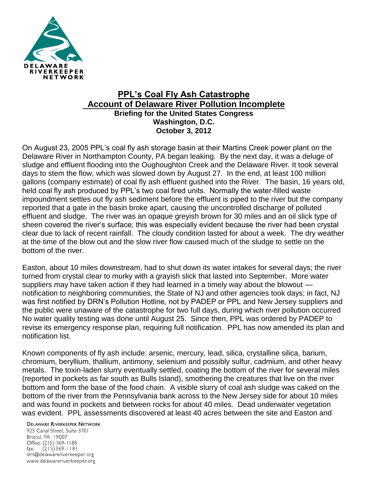

## **PPL's Coal Fly Ash Catastrophe Account of Delaware River Pollution Incomplete Briefing for the United States Congress Washington, D.C. October 3, 2012**

On August 23, 2005 PPL's coal fly ash storage basin at their Martins Creek power plant on the Delaware River in Northampton County, PA began leaking. By the next day, it was a deluge of sludge and effluent flooding into the Oughoughton Creek and the Delaware River. It took several days to stem the flow, which was slowed down by August 27. In the end, at least 100 million gallons (company estimate) of coal fly ash effluent gushed into the River. The basin, 16 years old, held coal fly ash produced by PPL's two coal fired units. Normally the water-filled waste impoundment settles out fly ash sediment before the effluent is piped to the river but the company reported that a gate in the basin broke apart, causing the uncontrolled discharge of polluted effluent and sludge. The river was an opaque greyish brown for 30 miles and an oil slick type of sheen covered the river's surface; this was especially evident because the river had been crystal clear due to lack of recent rainfall. The cloudy condition lasted for about a week. The dry weather at the time of the blow out and the slow river flow caused much of the sludge to settle on the bottom of the river.

Easton, about 10 miles downstream, had to shut down its water intakes for several days; the river turned from crystal clear to murky with a grayish slick that lasted into September. More water suppliers may have taken action if they had learned in a timely way about the blowout notification to neighboring communities, the State of NJ and other agencies took days; in fact, NJ was first notified by DRN's Pollution Hotline, not by PADEP or PPL and New Jersey suppliers and the public were unaware of the catastrophe for two full days, during which river pollution occurred No water quality testing was done until August 25. Since then, PPL was ordered by PADEP to revise its emergency response plan, requiring full notification. PPL has now amended its plan and notification list.

Known components of fly ash include: arsenic, mercury, lead, silica, crystalline silica, barium, chromium, beryllium, thallium, antimony, selenium and possibly sulfur, cadmium, and other heavy metals. The toxin-laden slurry eventually settled, coating the bottom of the river for several miles (reported in pockets as far south as Bulls Island), smothering the creatures that live on the river bottom and form the base of the food chain. A visible slurry of coal ash sludge was caked on the bottom of the river from the Pennsylvania bank across to the New Jersey side for about 10 miles and was found in pockets and between rocks for about 40 miles. Dead underwater vegetation was evident. PPL assessments discovered at least 40 acres between the site and Easton and

**DELAWARE RIVERKEEPER NETWORK** 925 Canal Street, Suite 3701 Bristol, PA 19007 Office: (215) 369-1188 fax:  $(215)369 - 1181$ drn@delawareriverkeeper.org www.delawareriverkeeper.org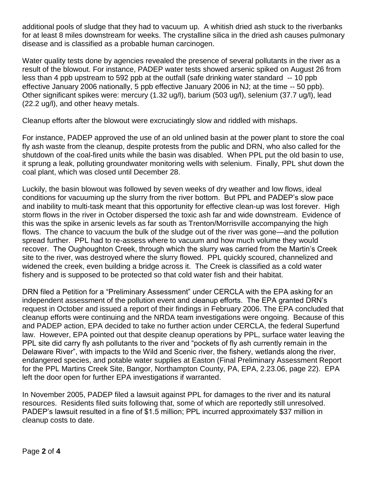additional pools of sludge that they had to vacuum up. A whitish dried ash stuck to the riverbanks for at least 8 miles downstream for weeks. The crystalline silica in the dried ash causes pulmonary disease and is classified as a probable human carcinogen.

Water quality tests done by agencies revealed the presence of several pollutants in the river as a result of the blowout. For instance, PADEP water tests showed arsenic spiked on August 26 from less than 4 ppb upstream to 592 ppb at the outfall (safe drinking water standard -- 10 ppb effective January 2006 nationally, 5 ppb effective January 2006 in NJ; at the time -- 50 ppb). Other significant spikes were: mercury (1.32 ug/l), barium (503 ug/l), selenium (37.7 ug/l), lead (22.2 ug/l), and other heavy metals.

Cleanup efforts after the blowout were excruciatingly slow and riddled with mishaps.

For instance, PADEP approved the use of an old unlined basin at the power plant to store the coal fly ash waste from the cleanup, despite protests from the public and DRN, who also called for the shutdown of the coal-fired units while the basin was disabled. When PPL put the old basin to use, it sprung a leak, polluting groundwater monitoring wells with selenium. Finally, PPL shut down the coal plant, which was closed until December 28.

Luckily, the basin blowout was followed by seven weeks of dry weather and low flows, ideal conditions for vacuuming up the slurry from the river bottom. But PPL and PADEP's slow pace and inability to multi-task meant that this opportunity for effective clean-up was lost forever. High storm flows in the river in October dispersed the toxic ash far and wide downstream. Evidence of this was the spike in arsenic levels as far south as Trenton/Morrisville accompanying the high flows. The chance to vacuum the bulk of the sludge out of the river was gone—and the pollution spread further. PPL had to re-assess where to vacuum and how much volume they would recover. The Oughoughton Creek, through which the slurry was carried from the Martin's Creek site to the river, was destroyed where the slurry flowed. PPL quickly scoured, channelized and widened the creek, even building a bridge across it. The Creek is classified as a cold water fishery and is supposed to be protected so that cold water fish and their habitat.

DRN filed a Petition for a "Preliminary Assessment" under CERCLA with the EPA asking for an independent assessment of the pollution event and cleanup efforts. The EPA granted DRN's request in October and issued a report of their findings in February 2006. The EPA concluded that cleanup efforts were continuing and the NRDA team investigations were ongoing. Because of this and PADEP action, EPA decided to take no further action under CERCLA, the federal Superfund law. However, EPA pointed out that despite cleanup operations by PPL, surface water leaving the PPL site did carry fly ash pollutants to the river and "pockets of fly ash currently remain in the Delaware River", with impacts to the Wild and Scenic river, the fishery, wetlands along the river, endangered species, and potable water supplies at Easton (Final Preliminary Assessment Report for the PPL Martins Creek Site, Bangor, Northampton County, PA, EPA, 2.23.06, page 22). EPA left the door open for further EPA investigations if warranted.

In November 2005, PADEP filed a lawsuit against PPL for damages to the river and its natural resources. Residents filed suits following that, some of which are reportedly still unresolved. PADEP's lawsuit resulted in a fine of \$1.5 million; PPL incurred approximately \$37 million in cleanup costs to date.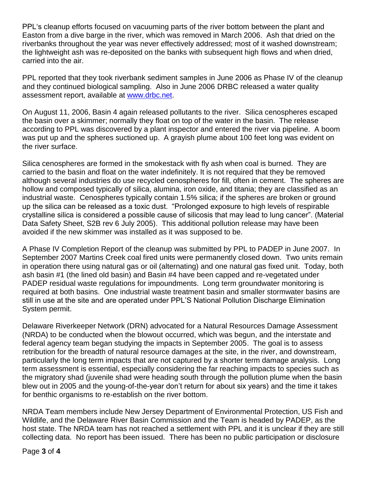PPL's cleanup efforts focused on vacuuming parts of the river bottom between the plant and Easton from a dive barge in the river, which was removed in March 2006. Ash that dried on the riverbanks throughout the year was never effectively addressed; most of it washed downstream; the lightweight ash was re-deposited on the banks with subsequent high flows and when dried, carried into the air.

PPL reported that they took riverbank sediment samples in June 2006 as Phase IV of the cleanup and they continued biological sampling. Also in June 2006 DRBC released a water quality assessment report, available at www.drbc.net

On August 11, 2006, Basin 4 again released pollutants to the river. Silica cenospheres escaped the basin over a skimmer; normally they float on top of the water in the basin. The release according to PPL was discovered by a plant inspector and entered the river via pipeline. A boom was put up and the spheres suctioned up. A grayish plume about 100 feet long was evident on the river surface.

Silica cenospheres are formed in the smokestack with fly ash when coal is burned. They are carried to the basin and float on the water indefinitely. It is not required that they be removed although several industries do use recycled cenospheres for fill, often in cement. The spheres are hollow and composed typically of silica, alumina, iron oxide, and titania; they are classified as an industrial waste. Cenospheres typically contain 1.5% silica; if the spheres are broken or ground up the silica can be released as a toxic dust. "Prolonged exposure to high levels of respirable crystalline silica is considered a possible cause of silicosis that may lead to lung cancer". (Material Data Safety Sheet, S2B rev 6 July 2005). This additional pollution release may have been avoided if the new skimmer was installed as it was supposed to be.

A Phase IV Completion Report of the cleanup was submitted by PPL to PADEP in June 2007. In September 2007 Martins Creek coal fired units were permanently closed down. Two units remain in operation there using natural gas or oil (alternating) and one natural gas fixed unit. Today, both ash basin #1 (the lined old basin) and Basin #4 have been capped and re-vegetated under PADEP residual waste regulations for impoundments. Long term groundwater monitoring is required at both basins. One industrial waste treatment basin and smaller stormwater basins are still in use at the site and are operated under PPL'S National Pollution Discharge Elimination System permit.

Delaware Riverkeeper Network (DRN) advocated for a Natural Resources Damage Assessment (NRDA) to be conducted when the blowout occurred, which was begun, and the interstate and federal agency team began studying the impacts in September 2005. The goal is to assess retribution for the breadth of natural resource damages at the site, in the river, and downstream, particularly the long term impacts that are not captured by a shorter term damage analysis. Long term assessment is essential, especially considering the far reaching impacts to species such as the migratory shad (juvenile shad were heading south through the pollution plume when the basin blew out in 2005 and the young-of-the-year don't return for about six years) and the time it takes for benthic organisms to re-establish on the river bottom.

NRDA Team members include New Jersey Department of Environmental Protection, US Fish and Wildlife, and the Delaware River Basin Commission and the Team is headed by PADEP, as the host state. The NRDA team has not reached a settlement with PPL and it is unclear if they are still collecting data. No report has been issued. There has been no public participation or disclosure

Page **3** of **4**